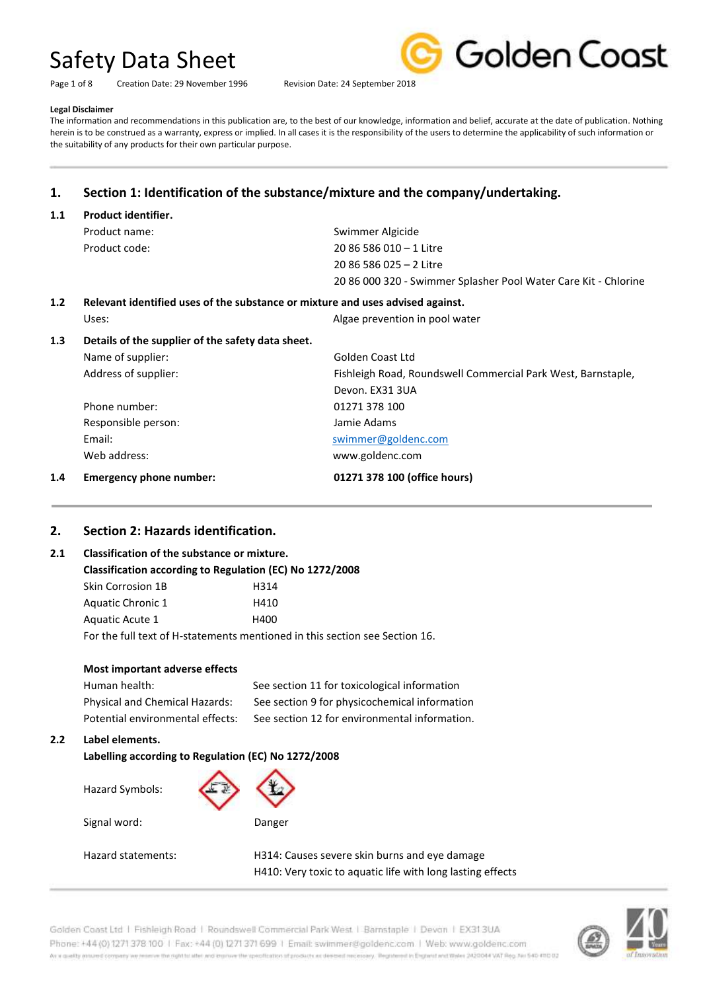Page 1 of 8 Creation Date: 29 November 1996 Revision Date: 24 September 2018



### **Legal Disclaimer**

The information and recommendations in this publication are, to the best of our knowledge, information and belief, accurate at the date of publication. Nothing herein is to be construed as a warranty, express or implied. In all cases it is the responsibility of the users to determine the applicability of such information or the suitability of any products for their own particular purpose.

### **1. Section 1: Identification of the substance/mixture and the company/undertaking.**

### **1.1 Product identifier.** Product name: Swimmer Algicide Product code: 20 86 586 010 – 1 Litre 20 86 586 025 – 2 Litre 20 86 000 320 - Swimmer Splasher Pool Water Care Kit - Chlorine **1.2 Relevant identified uses of the substance or mixture and uses advised against.** Uses: Uses: Uses: Uses: Uses: Uses: Uses: Uses: Uses: Uses: Uses: Uses: Uses: Uses: Uses: Uses: Uses: Uses: Uses: Uses: Uses: Uses: Uses: Uses: Uses: Uses: Uses: Uses: Uses: Uses: Uses: Uses: Uses: Uses: Uses: Uses: Uses: **1.3 Details of the supplier of the safety data sheet.** Name of supplier: Community Colden Coast Ltd Address of supplier: Fishleigh Road, Roundswell Commercial Park West, Barnstaple, Devon. EX31 3UA Phone number: 01271 378 100 Responsible person: Jamie Adams Email: example and the [swimmer@goldenc.com](mailto:swimmer@goldenc.com) Web address: www.goldenc.com **1.4 Emergency phone number: 01271 378 100 (office hours)**

### **2. Section 2: Hazards identification.**

### **2.1 Classification of the substance or mixture.**

**Classification according to Regulation (EC) No 1272/2008** Skin Corrosion 1B H314 Aquatic Chronic 1 H410 Aquatic Acute 1 H400 For the full text of H-statements mentioned in this section see Section 16.

|     | Most important adverse effects                      |                                               |  |
|-----|-----------------------------------------------------|-----------------------------------------------|--|
|     | Human health:                                       | See section 11 for toxicological information  |  |
|     | Physical and Chemical Hazards:                      | See section 9 for physicochemical information |  |
|     | Potential environmental effects:                    | See section 12 for environmental information. |  |
| 2.2 | Label elements.                                     |                                               |  |
|     | Labelling according to Regulation (EC) No 1272/2008 |                                               |  |

# Hazard Symbols: Signal word: Danger

Hazard statements: H314: Causes severe skin burns and eye damage H410: Very toxic to aquatic life with long lasting effects

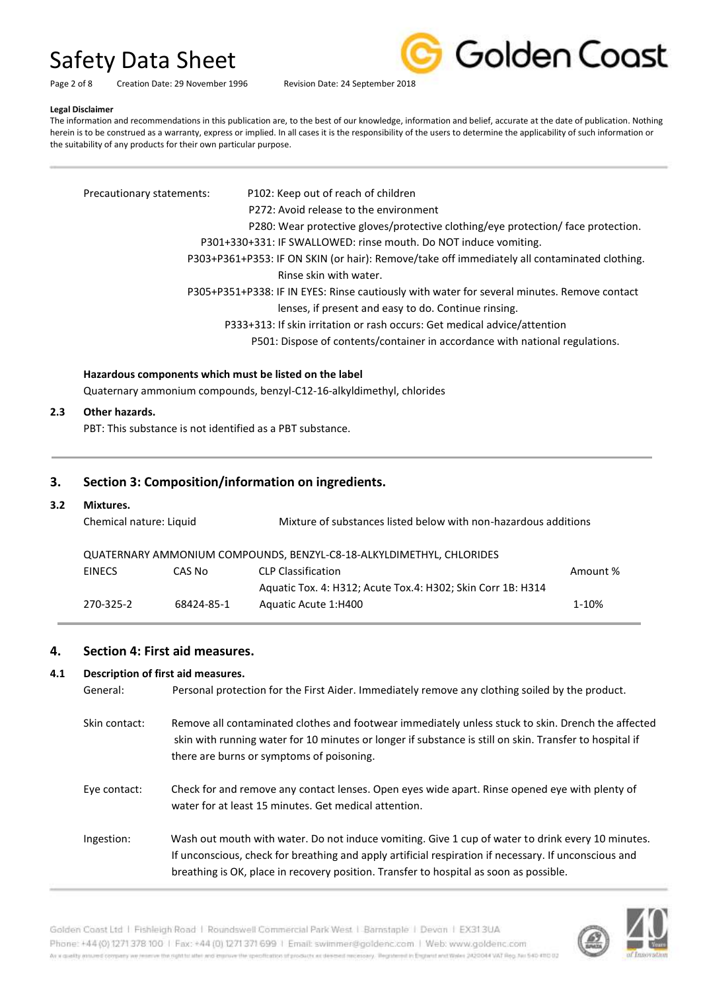Page 2 of 8 Creation Date: 29 November 1996 Revision Date: 24 September 2018

Golden Coast

**Legal Disclaimer**

The information and recommendations in this publication are, to the best of our knowledge, information and belief, accurate at the date of publication. Nothing herein is to be construed as a warranty, express or implied. In all cases it is the responsibility of the users to determine the applicability of such information or the suitability of any products for their own particular purpose.

| Precautionary statements: | P102: Keep out of reach of children                                                          |
|---------------------------|----------------------------------------------------------------------------------------------|
|                           | P272: Avoid release to the environment                                                       |
|                           | P280: Wear protective gloves/protective clothing/eye protection/ face protection.            |
|                           | P301+330+331: IF SWALLOWED: rinse mouth. Do NOT induce vomiting.                             |
|                           | P303+P361+P353: IF ON SKIN (or hair): Remove/take off immediately all contaminated clothing. |
|                           | Rinse skin with water.                                                                       |
|                           | P305+P351+P338: IF IN EYES: Rinse cautiously with water for several minutes. Remove contact  |
|                           | lenses, if present and easy to do. Continue rinsing.                                         |
|                           | P333+313: If skin irritation or rash occurs: Get medical advice/attention                    |
|                           | P501: Dispose of contents/container in accordance with national regulations.                 |
|                           |                                                                                              |

### **Hazardous components which must be listed on the label**

Quaternary ammonium compounds, benzyl-C12-16-alkyldimethyl, chlorides

### **2.3 Other hazards.**

PBT: This substance is not identified as a PBT substance.

### **3. Section 3: Composition/information on ingredients.**

### **3.2 Mixtures.**

| Chemical nature: Liquid | Mixture of substances listed below with non-hazardous additions      |
|-------------------------|----------------------------------------------------------------------|
|                         | QUATERNARY AMMONIUM COMPOUNDS, BENZYL-C8-18-ALKYLDIMETHYL, CHLORIDES |

| <b>EINECS</b> | CAS No     | <b>CLP Classification</b>                                    | Amount % |
|---------------|------------|--------------------------------------------------------------|----------|
|               |            | Aquatic Tox. 4: H312; Acute Tox. 4: H302; Skin Corr 1B: H314 |          |
| 270-325-2     | 68424-85-1 | Aquatic Acute 1:H400                                         | 1-10%    |

### **4. Section 4: First aid measures.**

### **4.1 Description of first aid measures.**

General: Personal protection for the First Aider. Immediately remove any clothing soiled by the product.

- Skin contact: Remove all contaminated clothes and footwear immediately unless stuck to skin. Drench the affected skin with running water for 10 minutes or longer if substance is still on skin. Transfer to hospital if there are burns or symptoms of poisoning.
- Eye contact: Check for and remove any contact lenses. Open eyes wide apart. Rinse opened eye with plenty of water for at least 15 minutes. Get medical attention.

Ingestion: Wash out mouth with water. Do not induce vomiting. Give 1 cup of water to drink every 10 minutes. If unconscious, check for breathing and apply artificial respiration if necessary. If unconscious and breathing is OK, place in recovery position. Transfer to hospital as soon as possible.

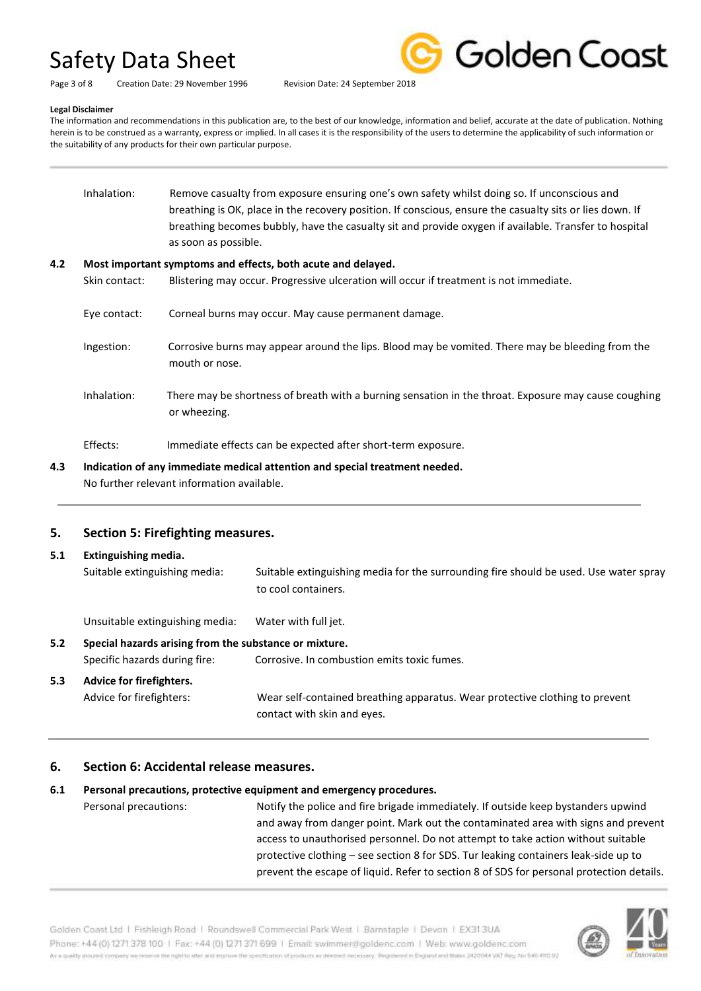Page 3 of 8 Creation Date: 29 November 1996 Revision Date: 24 September 2018



#### **Legal Disclaimer**

The information and recommendations in this publication are, to the best of our knowledge, information and belief, accurate at the date of publication. Nothing herein is to be construed as a warranty, express or implied. In all cases it is the responsibility of the users to determine the applicability of such information or the suitability of any products for their own particular purpose.

|     | Inhalation:   | Remove casualty from exposure ensuring one's own safety whilst doing so. If unconscious and<br>breathing is OK, place in the recovery position. If conscious, ensure the casualty sits or lies down. If<br>breathing becomes bubbly, have the casualty sit and provide oxygen if available. Transfer to hospital<br>as soon as possible. |
|-----|---------------|------------------------------------------------------------------------------------------------------------------------------------------------------------------------------------------------------------------------------------------------------------------------------------------------------------------------------------------|
| 4.2 |               | Most important symptoms and effects, both acute and delayed.                                                                                                                                                                                                                                                                             |
|     | Skin contact: | Blistering may occur. Progressive ulceration will occur if treatment is not immediate.                                                                                                                                                                                                                                                   |
|     | Eye contact:  | Corneal burns may occur. May cause permanent damage.                                                                                                                                                                                                                                                                                     |
|     | Ingestion:    | Corrosive burns may appear around the lips. Blood may be vomited. There may be bleeding from the<br>mouth or nose.                                                                                                                                                                                                                       |
|     | Inhalation:   | There may be shortness of breath with a burning sensation in the throat. Exposure may cause coughing<br>or wheezing.                                                                                                                                                                                                                     |
|     | Effects:      | Immediate effects can be expected after short-term exposure.                                                                                                                                                                                                                                                                             |
|     |               |                                                                                                                                                                                                                                                                                                                                          |

**4.3 Indication of any immediate medical attention and special treatment needed.** No further relevant information available.

### **5. Section 5: Firefighting measures.**

| 5.1 | Extinguishing media.                                   |                                                                                                              |  |
|-----|--------------------------------------------------------|--------------------------------------------------------------------------------------------------------------|--|
|     | Suitable extinguishing media:                          | Suitable extinguishing media for the surrounding fire should be used. Use water spray<br>to cool containers. |  |
|     | Unsuitable extinguishing media:                        | Water with full jet.                                                                                         |  |
| 5.2 | Special hazards arising from the substance or mixture. |                                                                                                              |  |
|     | Specific hazards during fire:                          | Corrosive. In combustion emits toxic fumes.                                                                  |  |
| 5.3 | Advice for firefighters.                               |                                                                                                              |  |
|     | Advice for firefighters:                               | Wear self-contained breathing apparatus. Wear protective clothing to prevent<br>contact with skin and eyes.  |  |

### **6. Section 6: Accidental release measures.**

### **6.1 Personal precautions, protective equipment and emergency procedures.**

Personal precautions: Notify the police and fire brigade immediately. If outside keep bystanders upwind and away from danger point. Mark out the contaminated area with signs and prevent access to unauthorised personnel. Do not attempt to take action without suitable protective clothing – see section 8 for SDS. Tur leaking containers leak-side up to prevent the escape of liquid. Refer to section 8 of SDS for personal protection details.

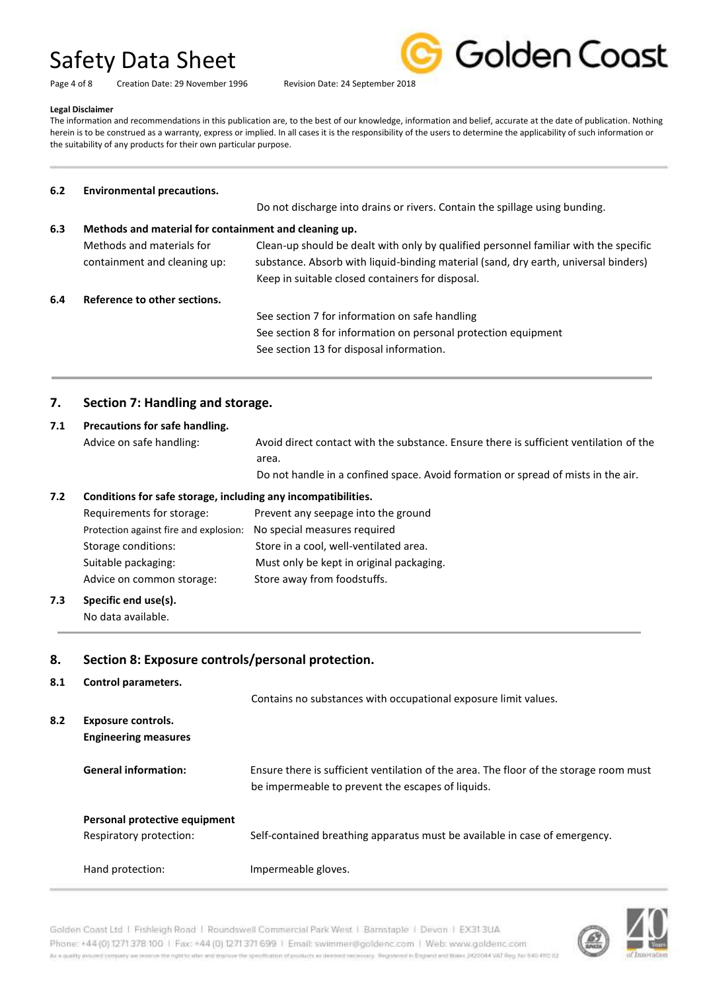Page 4 of 8 Creation Date: 29 November 1996 Revision Date: 24 September 2018



### **Legal Disclaimer**

The information and recommendations in this publication are, to the best of our knowledge, information and belief, accurate at the date of publication. Nothing herein is to be construed as a warranty, express or implied. In all cases it is the responsibility of the users to determine the applicability of such information or the suitability of any products for their own particular purpose.

### **6.2 Environmental precautions.**

Do not discharge into drains or rivers. Contain the spillage using bunding.

### **6.3 Methods and material for containment and cleaning up.** Methods and materials for Clean-up should be dealt with only by qualified personnel familiar with the specific containment and cleaning up: substance. Absorb with liquid-binding material (sand, dry earth, universal binders) Keep in suitable closed containers for disposal. **6.4 Reference to other sections.** See section 7 for information on safe handling See section 8 for information on personal protection equipment See section 13 for disposal information.

### **7. Section 7: Handling and storage.**

### **7.1 Precautions for safe handling.**

| Advice on safe handling: | Avoid direct contact with the substance. Ensure there is sufficient ventilation of the |  |  |
|--------------------------|----------------------------------------------------------------------------------------|--|--|
|                          | area.                                                                                  |  |  |

Do not handle in a confined space. Avoid formation or spread of mists in the air.

### **7.2 Conditions for safe storage, including any incompatibilities.**

| Prevent any seepage into the ground                                 |
|---------------------------------------------------------------------|
| Protection against fire and explosion: No special measures required |
| Store in a cool, well-ventilated area.                              |
| Must only be kept in original packaging.                            |
| Store away from foodstuffs.                                         |
|                                                                     |

### **7.3 Specific end use(s).**

No data available.

### **8. Section 8: Exposure controls/personal protection.**

### **8.1 Control parameters.**

|     |                                                          | Contains no substances with occupational exposure limit values.                                                                             |  |
|-----|----------------------------------------------------------|---------------------------------------------------------------------------------------------------------------------------------------------|--|
| 8.2 | Exposure controls.<br><b>Engineering measures</b>        |                                                                                                                                             |  |
|     | <b>General information:</b>                              | Ensure there is sufficient ventilation of the area. The floor of the storage room must<br>be impermeable to prevent the escapes of liquids. |  |
|     | Personal protective equipment<br>Respiratory protection: | Self-contained breathing apparatus must be available in case of emergency.                                                                  |  |
|     | Hand protection:                                         | Impermeable gloves.                                                                                                                         |  |

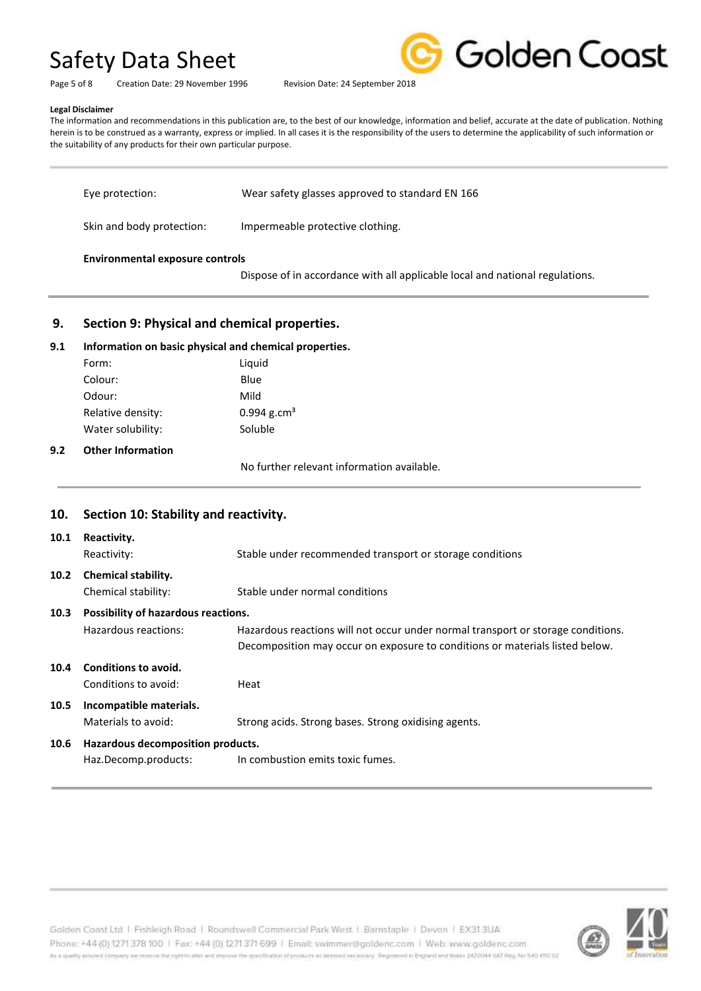

Page 5 of 8 Creation Date: 29 November 1996 Revision Date: 24 September 2018

#### **Legal Disclaimer**

The information and recommendations in this publication are, to the best of our knowledge, information and belief, accurate at the date of publication. Nothing herein is to be construed as a warranty, express or implied. In all cases it is the responsibility of the users to determine the applicability of such information or the suitability of any products for their own particular purpose.

| <b>Environmental exposure controls</b> |                                                 |
|----------------------------------------|-------------------------------------------------|
| Skin and body protection:              | Impermeable protective clothing.                |
| Eye protection:                        | Wear safety glasses approved to standard EN 166 |

Dispose of in accordance with all applicable local and national regulations.

### **9. Section 9: Physical and chemical properties.**

### **9.1 Information on basic physical and chemical properties.**

| Form:             | Liguid                    |
|-------------------|---------------------------|
| Colour:           | Blue                      |
| Odour:            | Mild                      |
| Relative density: | $0.994$ g.cm <sup>3</sup> |
| Water solubility: | Soluble                   |

### **9.2 Other Information**

No further relevant information available.

### **10. Section 10: Stability and reactivity. 10.1 Reactivity.** Reactivity: Stable under recommended transport or storage conditions **10.2 Chemical stability.** Chemical stability: Stable under normal conditions **10.3 Possibility of hazardous reactions.** Hazardous reactions: Hazardous reactions will not occur under normal transport or storage conditions. Decomposition may occur on exposure to conditions or materials listed below. **10.4 Conditions to avoid.** Conditions to avoid: Heat **10.5 Incompatible materials.** Materials to avoid: Strong acids. Strong bases. Strong oxidising agents. **10.6 Hazardous decomposition products.** Haz.Decomp.products: In combustion emits toxic fumes.

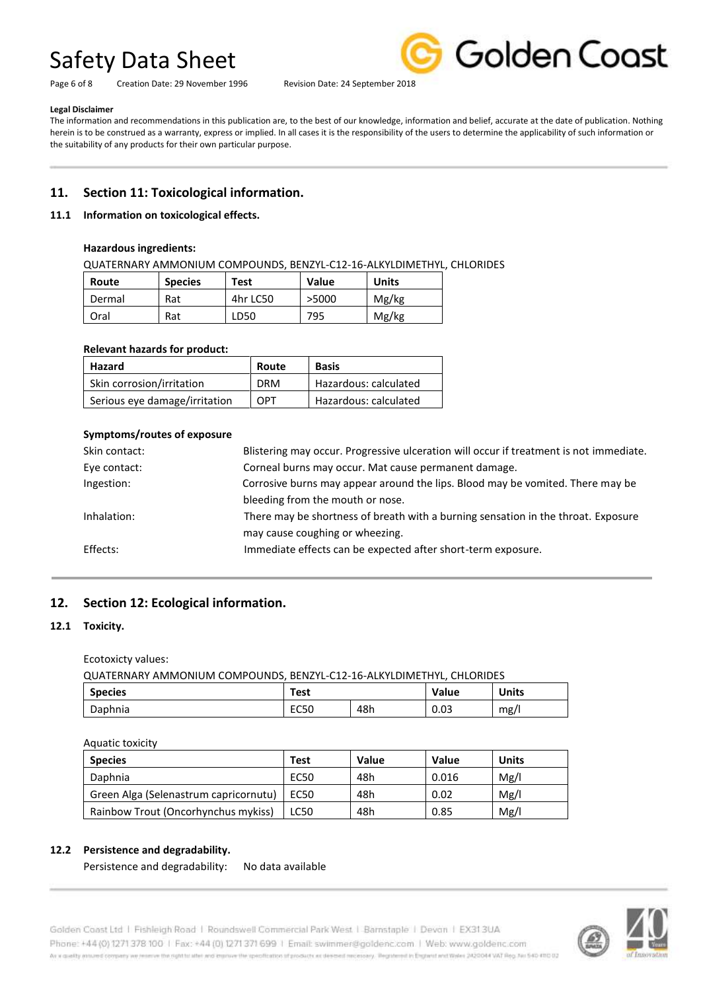Page 6 of 8 Creation Date: 29 November 1996 Revision Date: 24 September 2018



### **Legal Disclaimer**

The information and recommendations in this publication are, to the best of our knowledge, information and belief, accurate at the date of publication. Nothing herein is to be construed as a warranty, express or implied. In all cases it is the responsibility of the users to determine the applicability of such information or the suitability of any products for their own particular purpose.

### **11. Section 11: Toxicological information.**

### **11.1 Information on toxicological effects.**

### **Hazardous ingredients:**

QUATERNARY AMMONIUM COMPOUNDS, BENZYL-C12-16-ALKYLDIMETHYL, CHLORIDES

| Route  | <b>Species</b> | <b>Test</b> | Value | <b>Units</b> |
|--------|----------------|-------------|-------|--------------|
| Dermal | Rat            | 4hr LC50    | >5000 | Mg/kg        |
| Oral   | Rat            | LD50        | 795   | Mg/kg        |

### **Relevant hazards for product:**

| Hazard                        | Route      | <b>Basis</b>          |
|-------------------------------|------------|-----------------------|
| Skin corrosion/irritation     | <b>DRM</b> | Hazardous: calculated |
| Serious eye damage/irritation | OPT        | Hazardous: calculated |

### **Symptoms/routes of exposure**

| Skin contact: | Blistering may occur. Progressive ulceration will occur if treatment is not immediate. |
|---------------|----------------------------------------------------------------------------------------|
| Eye contact:  | Corneal burns may occur. Mat cause permanent damage.                                   |
| Ingestion:    | Corrosive burns may appear around the lips. Blood may be vomited. There may be         |
|               | bleeding from the mouth or nose.                                                       |
| Inhalation:   | There may be shortness of breath with a burning sensation in the throat. Exposure      |
|               | may cause coughing or wheezing.                                                        |
| Effects:      | Immediate effects can be expected after short-term exposure.                           |
|               |                                                                                        |

### **12. Section 12: Ecological information.**

### **12.1 Toxicity.**

Ecotoxicty values:

QUATERNARY AMMONIUM COMPOUNDS, BENZYL-C12-16-ALKYLDIMETHYL, CHLORIDES

| <b>Species</b> | <b>Test</b> |     | <b>Value</b> | <b>Units</b> |
|----------------|-------------|-----|--------------|--------------|
| Daphnia        | EC50        | 48h | 0.03         | mg/          |

| Aquatic toxicity                      |             |       |       |              |
|---------------------------------------|-------------|-------|-------|--------------|
| <b>Species</b>                        | <b>Test</b> | Value | Value | <b>Units</b> |
| Daphnia                               | EC50        | 48h   | 0.016 | Mg/l         |
| Green Alga (Selenastrum capricornutu) | EC50        | 48h   | 0.02  | Mg/l         |
| Rainbow Trout (Oncorhynchus mykiss)   | LC50        | 48h   | 0.85  | Mg/l         |

### **12.2 Persistence and degradability.**

Persistence and degradability: No data available

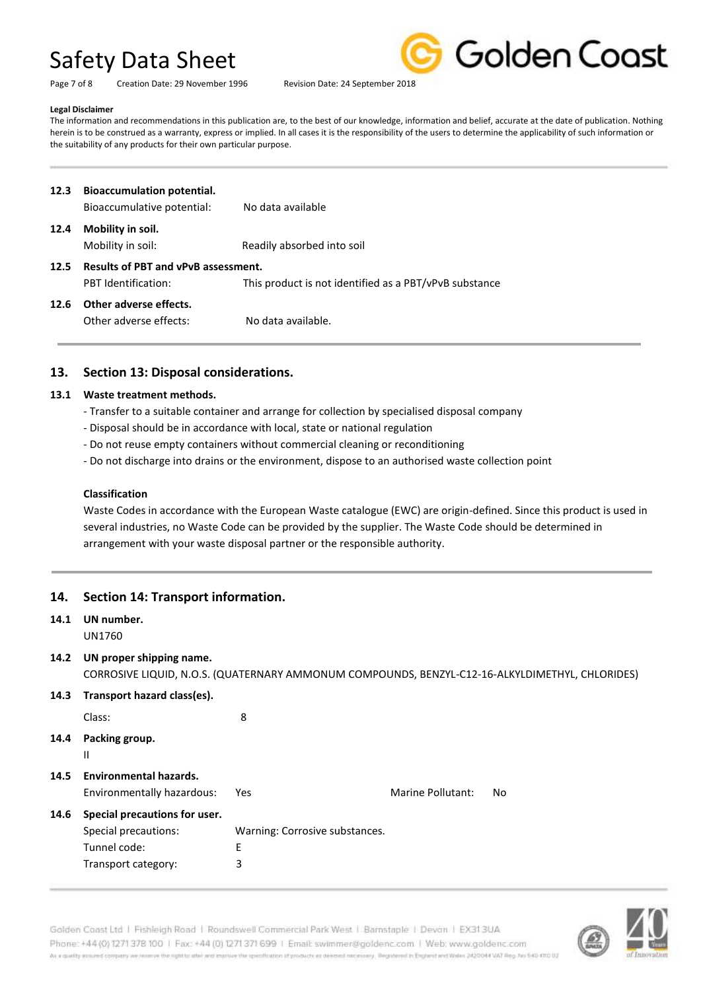Page 7 of 8 Creation Date: 29 November 1996 Revision Date: 24 September 2018



### **Legal Disclaimer**

The information and recommendations in this publication are, to the best of our knowledge, information and belief, accurate at the date of publication. Nothing herein is to be construed as a warranty, express or implied. In all cases it is the responsibility of the users to determine the applicability of such information or the suitability of any products for their own particular purpose.

| 12.3 | <b>Bioaccumulation potential.</b>          |                                                        |
|------|--------------------------------------------|--------------------------------------------------------|
|      | Bioaccumulative potential:                 | No data available                                      |
| 12.4 | Mobility in soil.                          |                                                        |
|      | Mobility in soil:                          | Readily absorbed into soil                             |
| 12.5 | <b>Results of PBT and vPvB assessment.</b> |                                                        |
|      | PBT Identification:                        | This product is not identified as a PBT/vPvB substance |
| 12.6 | Other adverse effects.                     |                                                        |
|      | Other adverse effects:                     | No data available.                                     |

### **13. Section 13: Disposal considerations.**

### **13.1 Waste treatment methods.**

- Transfer to a suitable container and arrange for collection by specialised disposal company
- Disposal should be in accordance with local, state or national regulation
- Do not reuse empty containers without commercial cleaning or reconditioning
- Do not discharge into drains or the environment, dispose to an authorised waste collection point

### **Classification**

Waste Codes in accordance with the European Waste catalogue (EWC) are origin-defined. Since this product is used in several industries, no Waste Code can be provided by the supplier. The Waste Code should be determined in arrangement with your waste disposal partner or the responsible authority.

### **14. Section 14: Transport information.**

### **14.1 UN number.**

UN1760

### **14.2 UN proper shipping name.**

CORROSIVE LIQUID, N.O.S. (QUATERNARY AMMONUM COMPOUNDS, BENZYL-C12-16-ALKYLDIMETHYL, CHLORIDES)

### **14.3 Transport hazard class(es).**

Class: 8 **14.4 Packing group.** II **14.5 Environmental hazards.** Environmentally hazardous: Yes Marine Pollutant: No **14.6 Special precautions for user.** Special precautions: Warning: Corrosive substances. Tunnel code: E Transport category: 3